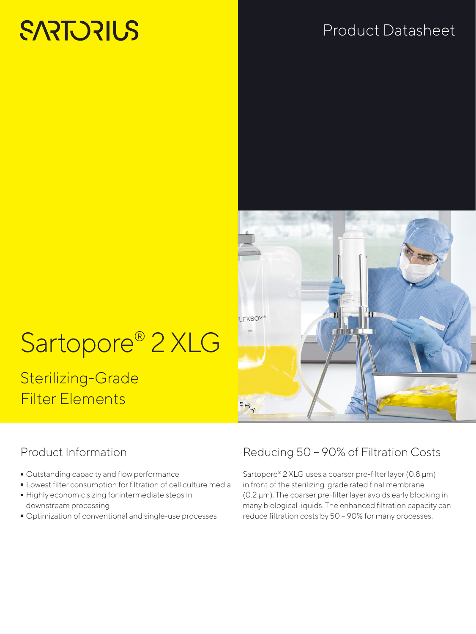# **SARTORIUS**

# Product Datasheet



# Sterilizing-Grade Filter Elements



### Product Information

- 
- Outstanding capacity and flow performance<br>■ Lowest filter consumption for filtration of cel
- Lowest filter consumption for filtration of cell culture media - Highly economic sizing for intermediate steps in downstream processing
- Optimization of conventional and single-use processes

### Reducing 50 – 90% of Filtration Costs

Sartopore® 2 XLG uses a coarser pre-filter layer (0.8 μm) in front of the sterilizing-grade rated final membrane (0.2 µm). The coarser pre-filter layer avoids early blocking in many biological liquids. The enhanced filtration capacity can reduce filtration costs by 50 – 90% for many processes.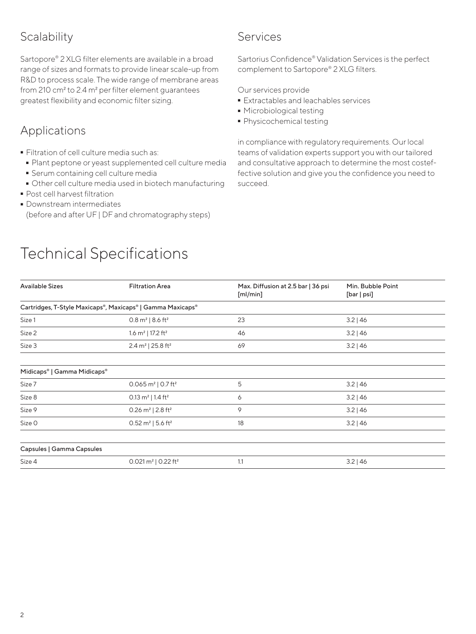### **Scalability**

Sartopore® 2 XLG filter elements are available in a broad range of sizes and formats to provide linear scale-up from R&D to process scale. The wide range of membrane areas from 210 cm<sup>2</sup> to 2.4 m<sup>2</sup> per filter element guarantees greatest flexibility and economic filter sizing.

### Applications

- 
- Filtration of cell culture media such as: - Plant peptone or yeast supplemented cell culture media
- 
- Serum containing cell culture media - Other cell culture media used in biotech manufacturing
- Post cell harvest filtration<br>• Downstream intermediates
- Downstream intermediates (before and after UF | DF and chromatography steps)

### Services

Sartorius Confidence® Validation Services is the perfect complement to Sartopore® 2 XLG filters.

Our services provide

- **Extractables and leachables services**<br>• Microbiological testing
- 
- Microbiological testing<br>■ Physicochemical testin  $\overline{\phantom{a}}$  Physicochemical testing<br>

in compliance with regulatory requirements. Our local teams of validation experts support you with our tailored and consultative approach to determine the most costeffective solution and give you the confidence you need to succeed.

# Technical Specifications

| <b>Available Sizes</b>      | <b>Filtration Area</b>                                     | Max. Diffusion at 2.5 bar   36 psi<br>[m]/min] | Min. Bubble Point<br>[bar   psi] |  |
|-----------------------------|------------------------------------------------------------|------------------------------------------------|----------------------------------|--|
|                             | Cartridges, T-Style Maxicaps®, Maxicaps®   Gamma Maxicaps® |                                                |                                  |  |
| Size 1                      | $0.8 \text{ m}^2$   8.6 ft <sup>2</sup>                    | 23                                             | $3.2 \mid 46$                    |  |
| Size 2                      | 1.6 $m2$   17.2 ft <sup>2</sup>                            | 46                                             | $3.2$   46                       |  |
| Size 3                      | 2.4 m <sup>2</sup>   25.8 ft <sup>2</sup>                  | 69                                             | $3.2$   46                       |  |
|                             |                                                            |                                                |                                  |  |
| Midicaps®   Gamma Midicaps® |                                                            |                                                |                                  |  |
| Size 7                      | 0.065 $m^2$   0.7 ft <sup>2</sup>                          | 5                                              | $3.2 \mid 46$                    |  |
| Size 8                      | 0.13 m <sup>2</sup>   1.4 ft <sup>2</sup>                  | 6                                              | $3.2$   46                       |  |
| Size 9                      | 0.26 m <sup>2</sup>   2.8 ft <sup>2</sup>                  | 9                                              | $3.2$   46                       |  |
| Size O                      | 0.52 $m^2$   5.6 ft <sup>2</sup>                           | 18                                             | $3.2 \mid 46$                    |  |
|                             |                                                            |                                                |                                  |  |
| Capsules   Gamma Capsules   |                                                            |                                                |                                  |  |
| Size 4                      | 0.021 m <sup>2</sup>   0.22 ft <sup>2</sup>                | 1.1                                            | $3.2$   46                       |  |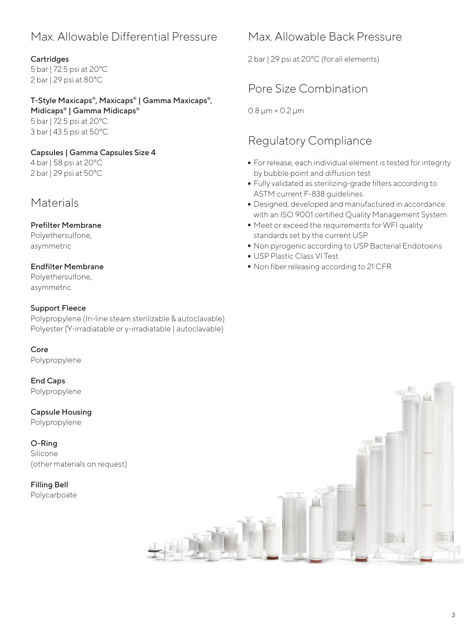### Max. Allowable Differential Pressure

#### **Cartridges**

5 bar | 72.5 psi at 20°C 2 bar | 29 psi at 80°C

### T-Style Maxicaps®, Maxicaps® | Gamma Maxicaps®,

Midicaps® | Gamma Midicaps® 5 bar | 72.5 psi at 20°C 3 bar | 43.5 psi at 50°C

#### Capsules | Gamma Capsules Size 4

4 bar | 58 psi at 20°C 2 bar | 29 psi at 50°C

### Materials

#### Prefilter Membrane

Polyethersulfone, asymmetric

### Endfilter Membrane

Polyethersulfone, asymmetric

#### Support Fleece

Polypropylene (In-line steam sterilizable & autoclavable) Polyester (Ύ-irradiatable or γ-irradiatable | autoclavable)

Core Polypropylene

End Caps Polypropylene

Capsule Housing Polypropylene

O-Ring Silicone (other materials on request)

Filling Bell Polycarboate

### Max. Allowable Back Pressure

2 bar | 29 psi at 20°C (for all elements)

### Pore Size Combination

0.8 μm + 0.2 μm

### Regulatory Compliance

- For release, each individual element is tested for integrity by bubble point and diffusion test
- Fully validated as sterilizing-grade filters according to<br>ASTM current F-838 guidelines<br>- Designed, developed and manufactured in accordance ASTM current F-838 guidelines
- Designed, developed and manufactured in accordance with an ISO 9001 certified Quality Management System
- Meet or exceed the requirements for WFI quality standards set by the current USP
- Non pyrogenic according to USP Bacterial Endotoxins<br>• USP Plastic Class VI Test
- 
- USP Plastic Class VI Test<br>■ Non fiber releasing accor  $\bullet$  Non fiber releasing according to 21 CFR<br>

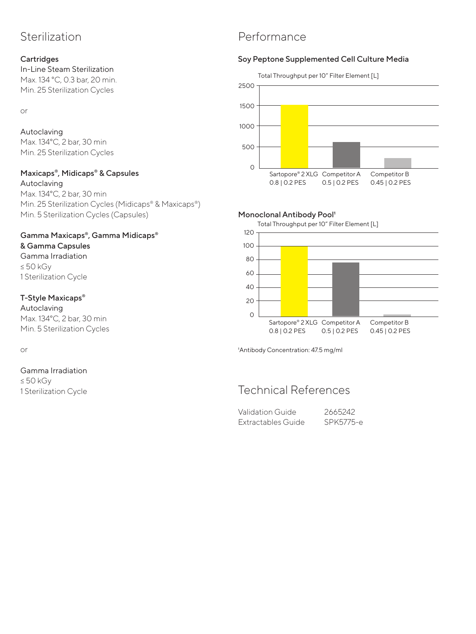### Sterilization

#### **Cartridges**

In-Line Steam Sterilization Max. 134 °C, 0.3 bar, 20 min. Min. 25 Sterilization Cycles

or

### Autoclaving

Max. 134°C, 2 bar, 30 min Min. 25 Sterilization Cycles

#### Maxicaps®, Midicaps® & Capsules

Autoclaving Max. 134°C, 2 bar, 30 min Min. 25 Sterilization Cycles (Midicaps® & Maxicaps®) Min. 5 Sterilization Cycles (Capsules)

#### Gamma Maxicaps®, Gamma Midicaps® & Gamma Capsules

Gamma Irradiation ≤ 50 kGy 1 Sterilization Cycle

#### T-Style Maxicaps®

Autoclaving Max. 134°C, 2 bar, 30 min Min. 5 Sterilization Cycles

or

### Gamma Irradiation

≤ 50 kGy 1 Sterilization Cycle

### Performance

#### Soy Peptone Supplemented Cell Culture Media





#### Monoclonal Antibody Pool<sup>1</sup>



1Antibody Concentration: 47.5 mg/ml

### Technical References

| Validation Guide   | 2665242   |
|--------------------|-----------|
| Extractables Guide | SPK5775-e |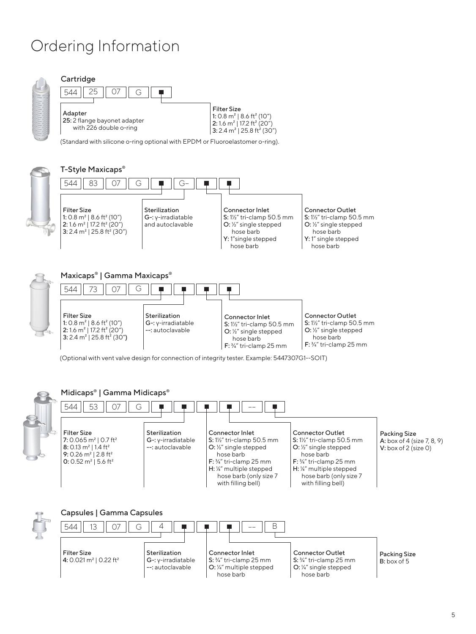## Ordering Information



hose barb F: 3/4" tri-clamp 25 mm

(Optional with vent valve design for connection of integrity tester. Example: 5447307G1--SOIT)



#### Midicaps® | Gamma Midicaps®



F: 3/4" tri-clamp 25 mm